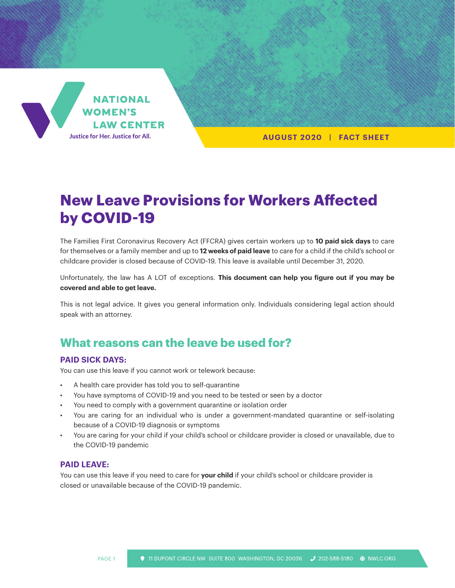

**AUGUST 2020 | FACT SHEET**

# **New Leave Provisions for Workers Affected by COVID-19**

The Families First Coronavirus Recovery Act (FFCRA) gives certain workers up to **10 paid sick days** to care for themselves or a family member and up to **12 weeks of paid leave** to care for a child if the child's school or childcare provider is closed because of COVID-19. This leave is available until December 31, 2020.

Unfortunately, the law has A LOT of exceptions. **This document can help you figure out if you may be covered and able to get leave.**

This is not legal advice. It gives you general information only. Individuals considering legal action should speak with an attorney.

## **What reasons can the leave be used for?**

#### **PAID SICK DAYS:**

You can use this leave if you cannot work or telework because:

- A health care provider has told you to self-quarantine
- You have symptoms of COVID-19 and you need to be tested or seen by a doctor
- You need to comply with a government quarantine or isolation order
- You are caring for an individual who is under a government-mandated quarantine or self-isolating because of a COVID-19 diagnosis or symptoms
- You are caring for your child if your child's school or childcare provider is closed or unavailable, due to the COVID-19 pandemic

#### **PAID LEAVE:**

You can use this leave if you need to care for **your child** if your child's school or childcare provider is closed or unavailable because of the COVID-19 pandemic.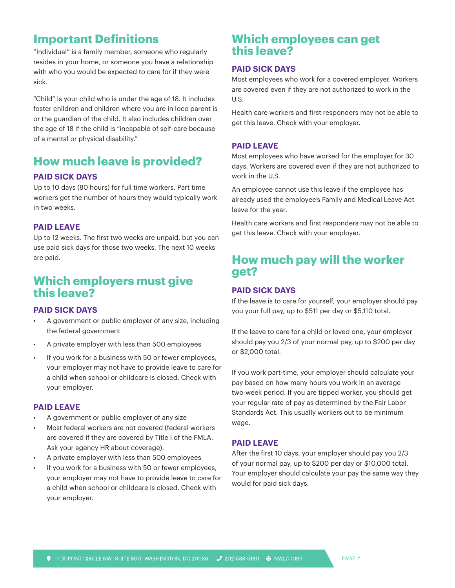## **Important Definitions**

"Individual" is a family member, someone who regularly resides in your home, or someone you have a relationship with who you would be expected to care for if they were sick.

"Child" is your child who is under the age of 18. It includes foster children and children where you are in loco parent is or the guardian of the child. It also includes children over the age of 18 if the child is "incapable of self-care because of a mental or physical disability."

## **How much leave is provided?**

#### **PAID SICK DAYS**

Up to 10 days (80 hours) for full time workers. Part time workers get the number of hours they would typically work in two weeks.

#### **PAID LEAVE**

Up to 12 weeks. The first two weeks are unpaid, but you can use paid sick days for those two weeks. The next 10 weeks are paid.

## **Which employers must give this leave?**

#### **PAID SICK DAYS**

- A government or public employer of any size, including the federal government
- A private employer with less than 500 employees
- If you work for a business with 50 or fewer employees, your employer may not have to provide leave to care for a child when school or childcare is closed. Check with your employer.

#### **PAID LEAVE**

- A government or public employer of any size
- Most federal workers are not covered (federal workers are covered if they are covered by Title I of the FMLA. Ask your agency HR about coverage).
- A private employer with less than 500 employees
- If you work for a business with 50 or fewer employees, your employer may not have to provide leave to care for a child when school or childcare is closed. Check with your employer.

### **Which employees can get this leave?**

#### **PAID SICK DAYS**

Most employees who work for a covered employer. Workers are covered even if they are not authorized to work in the U.S.

Health care workers and first responders may not be able to get this leave. Check with your employer.

#### **PAID LEAVE**

Most employees who have worked for the employer for 30 days. Workers are covered even if they are not authorized to work in the U.S.

An employee cannot use this leave if the employee has already used the employee's Family and Medical Leave Act leave for the year.

Health care workers and first responders may not be able to get this leave. Check with your employer.

## **How much pay will the worker get?**

#### **PAID SICK DAYS**

If the leave is to care for yourself, your employer should pay you your full pay, up to \$511 per day or \$5,110 total.

If the leave to care for a child or loved one, your employer should pay you 2/3 of your normal pay, up to \$200 per day or \$2,000 total.

If you work part-time, your employer should calculate your pay based on how many hours you work in an average two-week period. If you are tipped worker, you should get your regular rate of pay as determined by the Fair Labor Standards Act. This usually workers out to be minimum wage.

#### **PAID LEAVE**

After the first 10 days, your employer should pay you 2/3 of your normal pay, up to \$200 per day or \$10,000 total. Your employer should calculate your pay the same way they would for paid sick days.